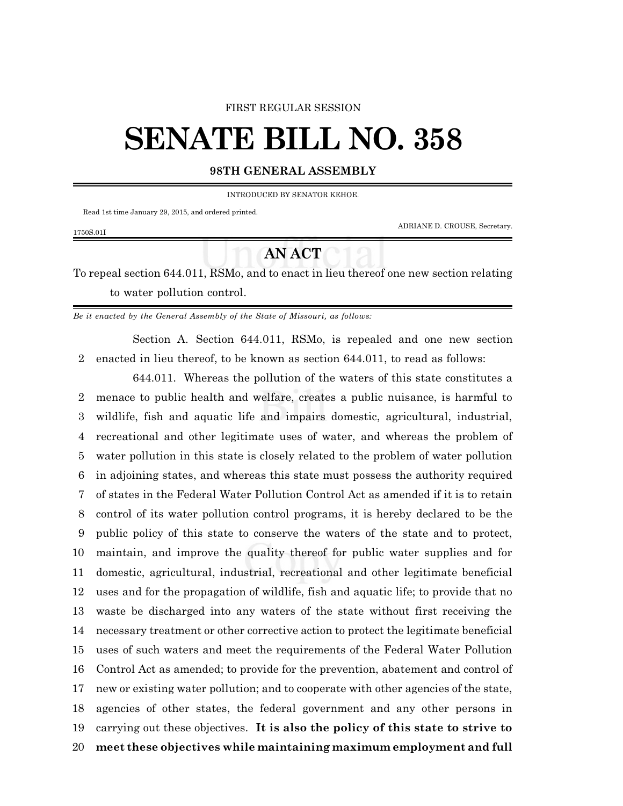#### FIRST REGULAR SESSION

# **SENATE BILL NO. 358**

### **98TH GENERAL ASSEMBLY**

INTRODUCED BY SENATOR KEHOE.

Read 1st time January 29, 2015, and ordered printed.

1750S.01I

ADRIANE D. CROUSE, Secretary.

## **AN ACT**

To repeal section 644.011, RSMo, and to enact in lieu thereof one new section relating to water pollution control.

*Be it enacted by the General Assembly of the State of Missouri, as follows:*

Section A. Section 644.011, RSMo, is repealed and one new section enacted in lieu thereof, to be known as section 644.011, to read as follows:

644.011. Whereas the pollution of the waters of this state constitutes a menace to public health and welfare, creates a public nuisance, is harmful to wildlife, fish and aquatic life and impairs domestic, agricultural, industrial, recreational and other legitimate uses of water, and whereas the problem of water pollution in this state is closely related to the problem of water pollution in adjoining states, and whereas this state must possess the authority required of states in the Federal Water Pollution Control Act as amended if it is to retain control of its water pollution control programs, it is hereby declared to be the public policy of this state to conserve the waters of the state and to protect, maintain, and improve the quality thereof for public water supplies and for domestic, agricultural, industrial, recreational and other legitimate beneficial uses and for the propagation of wildlife, fish and aquatic life; to provide that no waste be discharged into any waters of the state without first receiving the necessary treatment or other corrective action to protect the legitimate beneficial uses of such waters and meet the requirements of the Federal Water Pollution Control Act as amended; to provide for the prevention, abatement and control of new or existing water pollution; and to cooperate with other agencies of the state, agencies of other states, the federal government and any other persons in carrying out these objectives. **It is also the policy of this state to strive to meet these objectives while maintaining maximum employment and full**